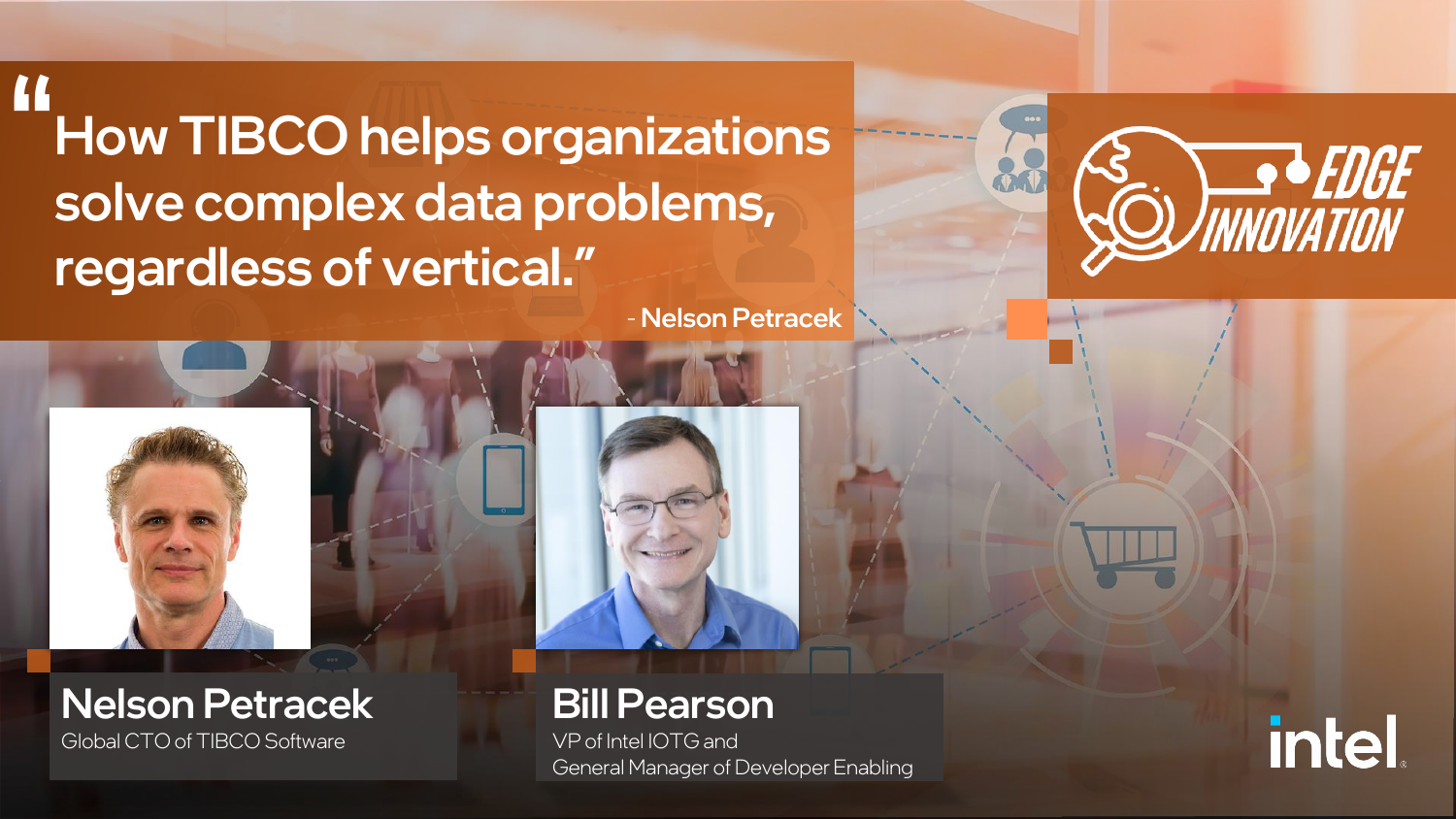How TIBCO helps organizations solve complex data problems, regardless of vertical." **"**

- Nelson Petracek





Bill Pearson

VP of Intel IOTG and General Manager of Developer Enabling



**IGE**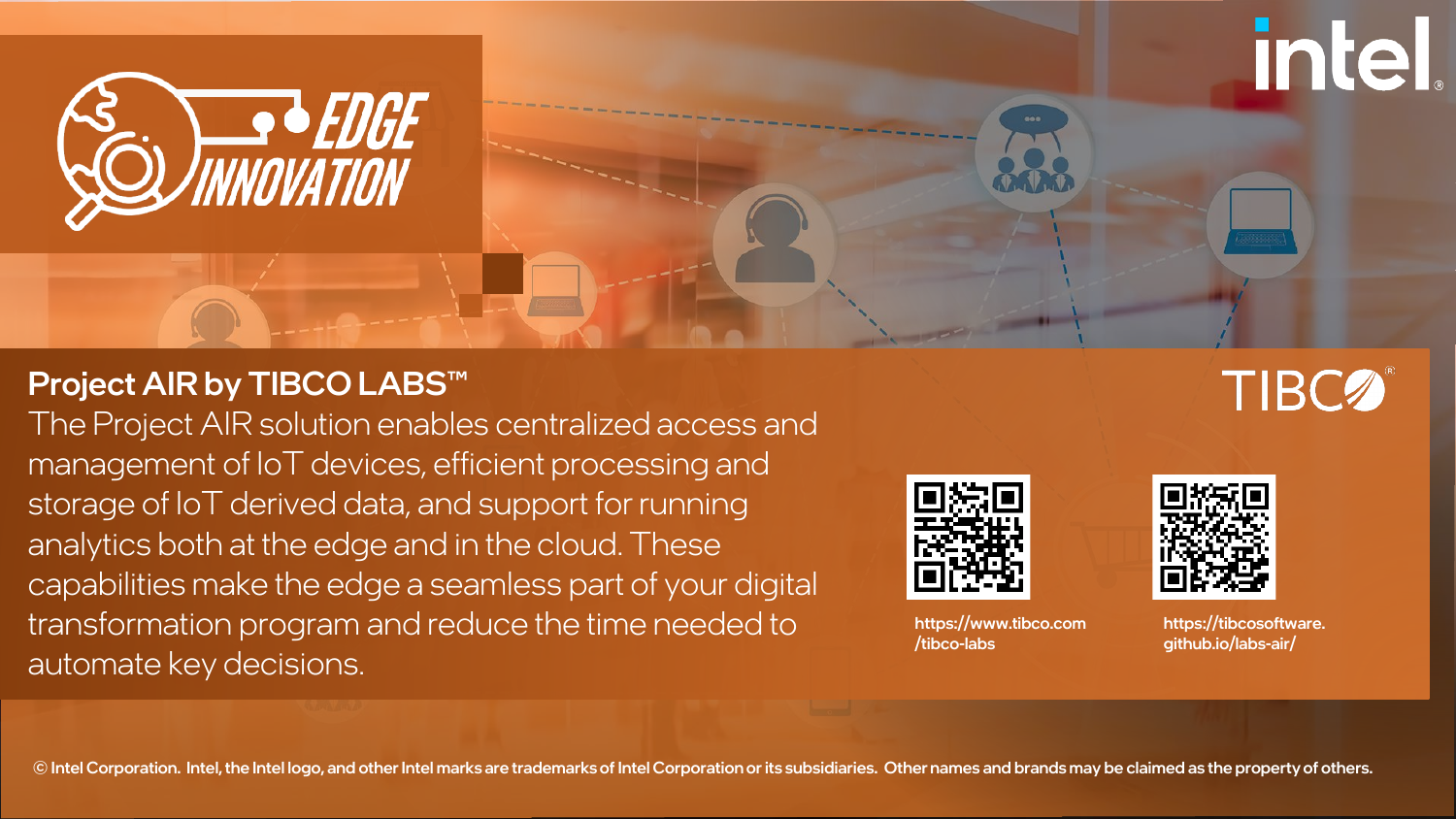

## Project AIR by TIBCO LABS™

The Project AIR solution enables centralized access and management of IoT devices, efficient processing and storage of IoT derived data, and support for running analytics both at the edge and in the cloud. These capabilities make the edge a seamless part of your digital transformation program and reduce the time needed to automate key decisions.



https://www.tibco.com /tibco-labs



https://tibcosoftware. github.io/labs-air/

**TIBC2** 

**intel** 

## © Intel Corporation. Intel, the Intel logo, and other Intel marks are trademarks of Intel Corporation or its subsidiaries. Other names and brands may be claimed as the property of others.